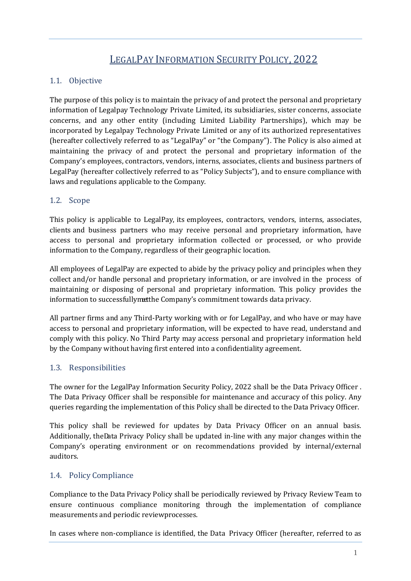## LEGALPAY INFORMATION SECURITY POLICY, 2022

#### 1.1. Objective

The purpose of this policy is to maintain the privacy of and protect the personal and proprietary information of Legalpay Technology Private Limited, its subsidiaries, sister concerns, associate concerns, and any other entity (including Limited Liability Partnerships), which may be incorporated by Legalpay Technology Private Limited or any of its authorized representatives (hereafter collectively referred to as "LegalPay" or "the Company"). The Policy is also aimed at maintaining the privacy of and protect the personal and proprietary information of the Company's employees, contractors, vendors, interns, associates, clients and business partners of LegalPay (hereafter collectively referred to as "Policy Subjects"), and to ensure compliance with laws and regulations applicable to the Company.

#### 1.2. Scope

This policy is applicable to LegalPay, its employees, contractors, vendors, interns, associates, clients and business partners who may receive personal and proprietary information, have access to personal and proprietary information collected or processed, or who provide information to the Company, regardless of their geographic location.

All employees of LegalPay are expected to abide by the privacy policy and principles when they collect and/or handle personal and proprietary information, or are involved in the process of maintaining or disposing of personal and proprietary information. This policy provides the information to successfully met the Company's commitment towards data privacy.

All partner firms and any Third-Party working with or for LegalPay, and who have or may have access to personal and proprietary information, will be expected to have read, understand and comply with this policy. No Third Party may access personal and proprietary information held by the Company without having first entered into a confidentiality agreement.

#### 1.3. Responsibilities

The owner for the LegalPay Information Security Policy, 2022 shall be the Data Privacy Officer . The Data Privacy Officer shall be responsible for maintenance and accuracy of this policy. Any queries regarding the implementation of this Policy shall be directed to the Data Privacy Officer.

This policy shall be reviewed for updates by Data Privacy Officer on an annual basis. Additionally, theData Privacy Policy shall be updated in-line with any major changes within the Company's operating environment or on recommendations provided by internal/external auditors.

#### 1.4. Policy Compliance

Compliance to the Data Privacy Policy shall be periodically reviewed by Privacy Review Team to ensure continuous compliance monitoring through the implementation of compliance measurements and periodic reviewprocesses.

In cases where non-compliance is identified, the Data Privacy Officer (hereafter, referred to as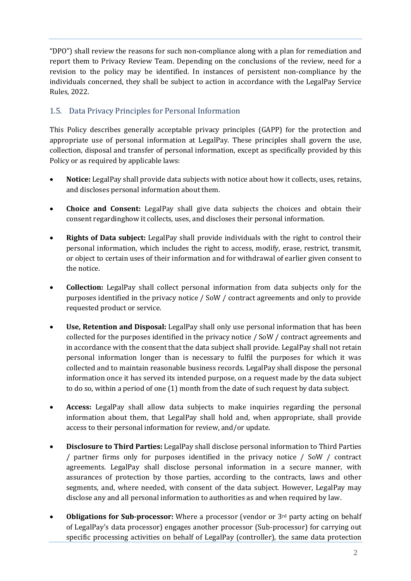"DPO") shall review the reasons for such non-compliance along with a plan for remediation and report them to Privacy Review Team. Depending on the conclusions of the review, need for a revision to the policy may be identified. In instances of persistent non-compliance by the individuals concerned, they shall be subject to action in accordance with the LegalPay Service Rules, 2022.

## 1.5. Data Privacy Principles for Personal Information

This Policy describes generally acceptable privacy principles (GAPP) for the protection and appropriate use of personal information at LegalPay. These principles shall govern the use, collection, disposal and transfer of personal information, except as specifically provided by this Policy or as required by applicable laws:

- **Notice:** LegalPay shall provide data subjects with notice about how it collects, uses, retains, and discloses personal information about them.
- **Choice and Consent:** LegalPay shall give data subjects the choices and obtain their consent regardinghow it collects, uses, and discloses their personal information.
- **Rights of Data subject:** LegalPay shall provide individuals with the right to control their personal information, which includes the right to access, modify, erase, restrict, transmit, or object to certain uses of their information and for withdrawal of earlier given consent to the notice.
- **Collection:** LegalPay shall collect personal information from data subjects only for the purposes identified in the privacy notice / SoW / contract agreements and only to provide requested product or service.
- **Use, Retention and Disposal:** LegalPay shall only use personal information that has been collected for the purposes identified in the privacy notice / SoW / contract agreements and in accordance with the consent that the data subject shall provide. LegalPay shall not retain personal information longer than is necessary to fulfil the purposes for which it was collected and to maintain reasonable business records. LegalPay shall dispose the personal information once it has served its intended purpose, on a request made by the data subject to do so, within a period of one (1) month from the date of such request by data subject.
- **Access:** LegalPay shall allow data subjects to make inquiries regarding the personal information about them, that LegalPay shall hold and, when appropriate, shall provide access to their personal information for review, and/or update.
- **Disclosure to Third Parties:** LegalPay shall disclose personal information to Third Parties / partner firms only for purposes identified in the privacy notice / SoW / contract agreements. LegalPay shall disclose personal information in a secure manner, with assurances of protection by those parties, according to the contracts, laws and other segments, and, where needed, with consent of the data subject. However, LegalPay may disclose any and all personal information to authorities as and when required by law.
- **Obligations for Sub-processor:** Where a processor (vendor or 3rd party acting on behalf of LegalPay's data processor) engages another processor (Sub-processor) for carrying out specific processing activities on behalf of LegalPay (controller), the same data protection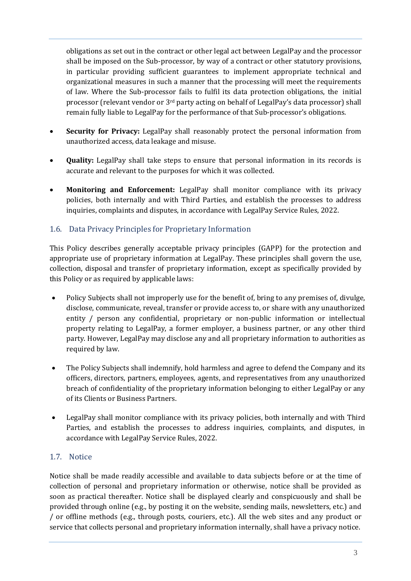obligations as set out in the contract or other legal act between LegalPay and the processor shall be imposed on the Sub-processor, by way of a contract or other statutory provisions, in particular providing sufficient guarantees to implement appropriate technical and organizational measures in such a manner that the processing will meet the requirements of law. Where the Sub-processor fails to fulfil its data protection obligations, the initial processor (relevant vendor or 3rd party acting on behalf of LegalPay's data processor) shall remain fully liable to LegalPay for the performance of that Sub-processor's obligations.

- **Security for Privacy:** LegalPay shall reasonably protect the personal information from unauthorized access, data leakage and misuse.
- **Quality:** LegalPay shall take steps to ensure that personal information in its records is accurate and relevant to the purposes for which it was collected.
- **Monitoring and Enforcement:** LegalPay shall monitor compliance with its privacy policies, both internally and with Third Parties, and establish the processes to address inquiries, complaints and disputes, in accordance with LegalPay Service Rules, 2022.

#### 1.6. Data Privacy Principles for Proprietary Information

This Policy describes generally acceptable privacy principles (GAPP) for the protection and appropriate use of proprietary information at LegalPay. These principles shall govern the use, collection, disposal and transfer of proprietary information, except as specifically provided by this Policy or as required by applicable laws:

- Policy Subjects shall not improperly use for the benefit of, bring to any premises of, divulge, disclose, communicate, reveal, transfer or provide access to, or share with any unauthorized entity / person any confidential, proprietary or non-public information or intellectual property relating to LegalPay, a former employer, a business partner, or any other third party. However, LegalPay may disclose any and all proprietary information to authorities as required by law.
- The Policy Subjects shall indemnify, hold harmless and agree to defend the Company and its officers, directors, partners, employees, agents, and representatives from any unauthorized breach of confidentiality of the proprietary information belonging to either LegalPay or any of its Clients or Business Partners.
- LegalPay shall monitor compliance with its privacy policies, both internally and with Third Parties, and establish the processes to address inquiries, complaints, and disputes, in accordance with LegalPay Service Rules, 2022.

#### 1.7. Notice

Notice shall be made readily accessible and available to data subjects before or at the time of collection of personal and proprietary information or otherwise, notice shall be provided as soon as practical thereafter. Notice shall be displayed clearly and conspicuously and shall be provided through online (e.g., by posting it on the website, sending mails, newsletters, etc.) and / or offline methods (e.g., through posts, couriers, etc.). All the web sites and any product or service that collects personal and proprietary information internally, shall have a privacy notice.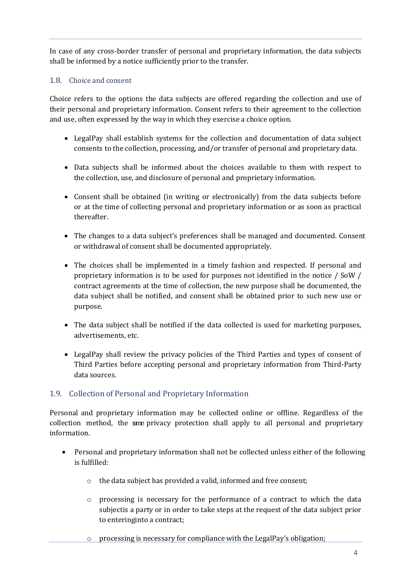In case of any cross-border transfer of personal and proprietary information, the data subjects shall be informed by a notice sufficiently prior to the transfer.

#### 1.8. Choice and consent

Choice refers to the options the data subjects are offered regarding the collection and use of their personal and proprietary information. Consent refers to their agreement to the collection and use, often expressed by the way in which they exercise a choice option.

- LegalPay shall establish systems for the collection and documentation of data subject consents to the collection, processing, and/or transfer of personal and proprietary data.
- Data subjects shall be informed about the choices available to them with respect to the collection, use, and disclosure of personal and proprietary information.
- Consent shall be obtained (in writing or electronically) from the data subjects before or at the time of collecting personal and proprietary information or as soon as practical thereafter.
- The changes to a data subject's preferences shall be managed and documented. Consent or withdrawal of consent shall be documented appropriately.
- The choices shall be implemented in a timely fashion and respected. If personal and proprietary information is to be used for purposes not identified in the notice / SoW / contract agreements at the time of collection, the new purpose shall be documented, the data subject shall be notified, and consent shall be obtained prior to such new use or purpose.
- The data subject shall be notified if the data collected is used for marketing purposes, advertisements, etc.
- LegalPay shall review the privacy policies of the Third Parties and types of consent of Third Parties before accepting personal and proprietary information from Third-Party data sources.

#### 1.9. Collection of Personal and Proprietary Information

Personal and proprietary information may be collected online or offline. Regardless of the collection method, the same privacy protection shall apply to all personal and proprietary information.

- Personal and proprietary information shall not be collected unless either of the following is fulfilled:
	- o the data subject has provided a valid, informed and free consent;
	- o processing is necessary for the performance of a contract to which the data subjectis a party or in order to take steps at the request of the data subject prior to enteringinto a contract;
	- o processing is necessary for compliance with the LegalPay's obligation;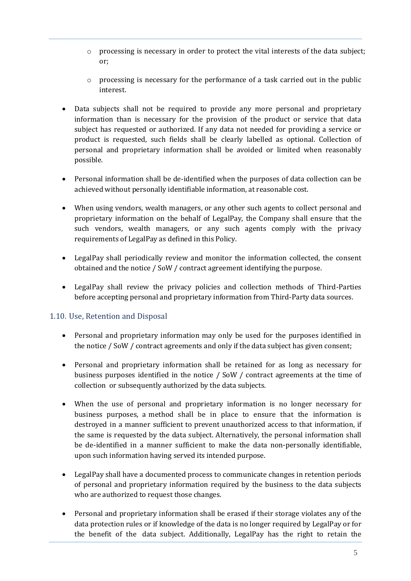- o processing is necessary in order to protect the vital interests of the data subject; or;
- $\circ$  processing is necessary for the performance of a task carried out in the public interest.
- Data subjects shall not be required to provide any more personal and proprietary information than is necessary for the provision of the product or service that data subject has requested or authorized. If any data not needed for providing a service or product is requested, such fields shall be clearly labelled as optional. Collection of personal and proprietary information shall be avoided or limited when reasonably possible.
- Personal information shall be de-identified when the purposes of data collection can be achieved without personally identifiable information, at reasonable cost.
- When using vendors, wealth managers, or any other such agents to collect personal and proprietary information on the behalf of LegalPay, the Company shall ensure that the such vendors, wealth managers, or any such agents comply with the privacy requirements of LegalPay as defined in this Policy.
- LegalPay shall periodically review and monitor the information collected, the consent obtained and the notice / SoW / contract agreement identifying the purpose.
- LegalPay shall review the privacy policies and collection methods of Third-Parties before accepting personal and proprietary information from Third-Party data sources.

#### 1.10. Use, Retention and Disposal

- Personal and proprietary information may only be used for the purposes identified in the notice / SoW / contract agreements and only if the data subject has given consent;
- Personal and proprietary information shall be retained for as long as necessary for business purposes identified in the notice / SoW / contract agreements at the time of collection or subsequently authorized by the data subjects.
- When the use of personal and proprietary information is no longer necessary for business purposes, a method shall be in place to ensure that the information is destroyed in a manner sufficient to prevent unauthorized access to that information, if the same is requested by the data subject. Alternatively, the personal information shall be de-identified in a manner sufficient to make the data non-personally identifiable, upon such information having served its intended purpose.
- LegalPay shall have a documented process to communicate changes in retention periods of personal and proprietary information required by the business to the data subjects who are authorized to request those changes.
- Personal and proprietary information shall be erased if their storage violates any of the data protection rules or if knowledge of the data is no longer required by LegalPay or for the benefit of the data subject. Additionally, LegalPay has the right to retain the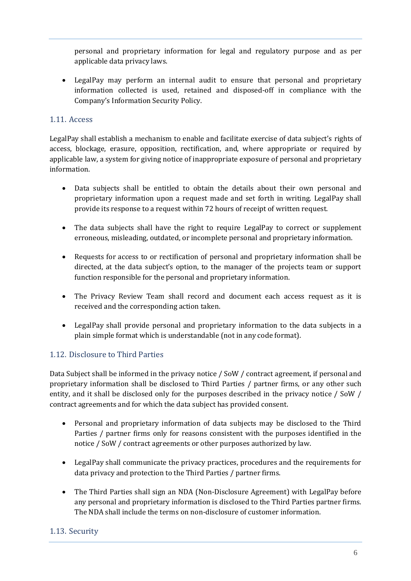personal and proprietary information for legal and regulatory purpose and as per applicable data privacy laws.

• LegalPay may perform an internal audit to ensure that personal and proprietary information collected is used, retained and disposed-off in compliance with the Company's Information Security Policy.

#### 1.11. Access

LegalPay shall establish a mechanism to enable and facilitate exercise of data subject's rights of access, blockage, erasure, opposition, rectification, and, where appropriate or required by applicable law, a system for giving notice of inappropriate exposure of personal and proprietary information.

- Data subjects shall be entitled to obtain the details about their own personal and proprietary information upon a request made and set forth in writing. LegalPay shall provide its response to a request within 72 hours of receipt of written request.
- The data subjects shall have the right to require LegalPay to correct or supplement erroneous, misleading, outdated, or incomplete personal and proprietary information.
- Requests for access to or rectification of personal and proprietary information shall be directed, at the data subject's option, to the manager of the projects team or support function responsible for the personal and proprietary information.
- The Privacy Review Team shall record and document each access request as it is received and the corresponding action taken.
- LegalPay shall provide personal and proprietary information to the data subjects in a plain simple format which is understandable (not in any code format).

#### 1.12. Disclosure to Third Parties

Data Subject shall be informed in the privacy notice / SoW / contract agreement, if personal and proprietary information shall be disclosed to Third Parties / partner firms, or any other such entity, and it shall be disclosed only for the purposes described in the privacy notice / SoW / contract agreements and for which the data subject has provided consent.

- Personal and proprietary information of data subjects may be disclosed to the Third Parties / partner firms only for reasons consistent with the purposes identified in the notice / SoW / contract agreements or other purposes authorized by law.
- LegalPay shall communicate the privacy practices, procedures and the requirements for data privacy and protection to the Third Parties / partner firms.
- The Third Parties shall sign an NDA (Non-Disclosure Agreement) with LegalPay before any personal and proprietary information is disclosed to the Third Parties partner firms. The NDA shall include the terms on non-disclosure of customer information.

#### 1.13. Security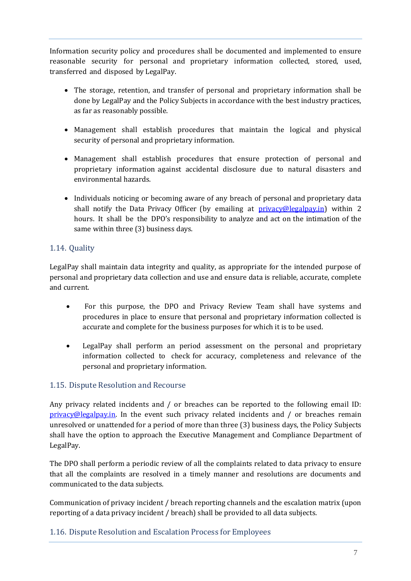Information security policy and procedures shall be documented and implemented to ensure reasonable security for personal and proprietary information collected, stored, used, transferred and disposed by LegalPay.

- The storage, retention, and transfer of personal and proprietary information shall be done by LegalPay and the Policy Subjects in accordance with the best industry practices, as far as reasonably possible.
- Management shall establish procedures that maintain the logical and physical security of personal and proprietary information.
- Management shall establish procedures that ensure protection of personal and proprietary information against accidental disclosure due to natural disasters and environmental hazards.
- Individuals noticing or becoming aware of any breach of personal and proprietary data shall notify the Data Privacy Officer (by emailing at [privacy@legalpay.in\)](mailto:privacy@legalpay.in) within 2 hours. It shall be the DPO's responsibility to analyze and act on the intimation of the same within three (3) business days.

### 1.14. Quality

LegalPay shall maintain data integrity and quality, as appropriate for the intended purpose of personal and proprietary data collection and use and ensure data is reliable, accurate, complete and current.

- For this purpose, the DPO and Privacy Review Team shall have systems and procedures in place to ensure that personal and proprietary information collected is accurate and complete for the business purposes for which it is to be used.
- LegalPay shall perform an period assessment on the personal and proprietary information collected to check for accuracy, completeness and relevance of the personal and proprietary information.

#### 1.15. Dispute Resolution and Recourse

Any privacy related incidents and / or breaches can be reported to the following email ID:  $privacy@$ legalpay.in. In the event such privacy related incidents and / or breaches remain unresolved or unattended for a period of more than three (3) business days, the Policy Subjects shall have the option to approach the Executive Management and Compliance Department of LegalPay.

The DPO shall perform a periodic review of all the complaints related to data privacy to ensure that all the complaints are resolved in a timely manner and resolutions are documents and communicated to the data subjects.

Communication of privacy incident / breach reporting channels and the escalation matrix (upon reporting of a data privacy incident / breach) shall be provided to all data subjects.

1.16. Dispute Resolution and Escalation Process for Employees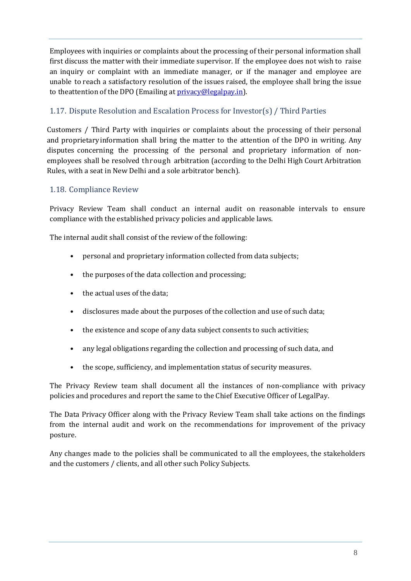Employees with inquiries or complaints about the processing of their personal information shall first discuss the matter with their immediate supervisor. If the employee does not wish to raise an inquiry or complaint with an immediate manager, or if the manager and employee are unable to reach a satisfactory resolution of the issues raised, the employee shall bring the issue to theattention of the DPO (Emailing at *privacy@legalpay.in*).

## 1.17. Dispute Resolution and Escalation Process for Investor(s) / Third Parties

Customers / Third Party with inquiries or complaints about the processing of their personal and proprietaryinformation shall bring the matter to the attention of the DPO in writing. Any disputes concerning the processing of the personal and proprietary information of nonemployees shall be resolved through arbitration (according to the Delhi High Court Arbitration Rules, with a seat in New Delhi and a sole arbitrator bench).

#### 1.18. Compliance Review

Privacy Review Team shall conduct an internal audit on reasonable intervals to ensure compliance with the established privacy policies and applicable laws.

The internal audit shall consist of the review of the following:

- personal and proprietary information collected from data subjects;
- the purposes of the data collection and processing;
- the actual uses of the data:
- disclosures made about the purposes of the collection and use of such data;
- the existence and scope of any data subject consents to such activities;
- any legal obligations regarding the collection and processing of such data, and
- the scope, sufficiency, and implementation status of security measures.

The Privacy Review team shall document all the instances of non-compliance with privacy policies and procedures and report the same to the Chief Executive Officer of LegalPay.

The Data Privacy Officer along with the Privacy Review Team shall take actions on the findings from the internal audit and work on the recommendations for improvement of the privacy posture.

Any changes made to the policies shall be communicated to all the employees, the stakeholders and the customers / clients, and all other such Policy Subjects.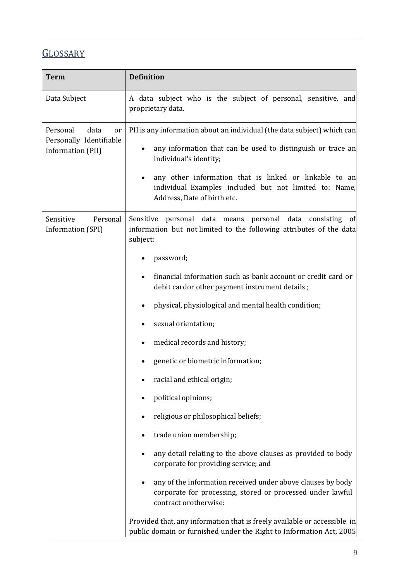# **GLOSSARY**

| <b>Term</b>                                                            | <b>Definition</b>                                                                                                                                               |
|------------------------------------------------------------------------|-----------------------------------------------------------------------------------------------------------------------------------------------------------------|
| Data Subject                                                           | A data subject who is the subject of personal, sensitive, and<br>proprietary data.                                                                              |
| Personal<br>data<br>or<br>Personally Identifiable<br>Information (PII) | PII is any information about an individual (the data subject) which can                                                                                         |
|                                                                        | any information that can be used to distinguish or trace an<br>individual's identity;                                                                           |
|                                                                        | any other information that is linked or linkable to an<br>individual Examples included but not limited to: Name,<br>Address, Date of birth etc.                 |
| Sensitive<br>Personal<br>Information (SPI)                             | Sensitive<br>personal data means personal data consisting<br>Οt<br>information but not limited to the following attributes of the data<br>subject:              |
|                                                                        | password;                                                                                                                                                       |
|                                                                        | financial information such as bank account or credit card or<br>debit cardor other payment instrument details;                                                  |
|                                                                        | physical, physiological and mental health condition;                                                                                                            |
|                                                                        | sexual orientation;                                                                                                                                             |
|                                                                        | medical records and history;<br>$\bullet$                                                                                                                       |
|                                                                        | genetic or biometric information;                                                                                                                               |
|                                                                        | racial and ethical origin;                                                                                                                                      |
|                                                                        | political opinions;                                                                                                                                             |
|                                                                        | religious or philosophical beliefs;                                                                                                                             |
|                                                                        | trade union membership;                                                                                                                                         |
|                                                                        | any detail relating to the above clauses as provided to body<br>corporate for providing service; and                                                            |
|                                                                        | any of the information received under above clauses by body<br>$\bullet$<br>corporate for processing, stored or processed under lawful<br>contract orotherwise: |
|                                                                        | Provided that, any information that is freely available or accessible in<br>public domain or furnished under the Right to Information Act, 2005                 |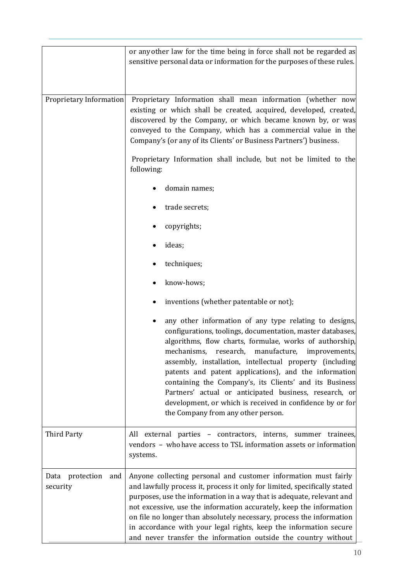|                                    | or any other law for the time being in force shall not be regarded as<br>sensitive personal data or information for the purposes of these rules.                                                                                                                                                                                                                                                                                                                                                                                                                                 |
|------------------------------------|----------------------------------------------------------------------------------------------------------------------------------------------------------------------------------------------------------------------------------------------------------------------------------------------------------------------------------------------------------------------------------------------------------------------------------------------------------------------------------------------------------------------------------------------------------------------------------|
| Proprietary Information            | Proprietary Information shall mean information (whether now<br>existing or which shall be created, acquired, developed, created,<br>discovered by the Company, or which became known by, or was<br>conveyed to the Company, which has a commercial value in the<br>Company's (or any of its Clients' or Business Partners') business.                                                                                                                                                                                                                                            |
|                                    | Proprietary Information shall include, but not be limited to the<br>following:                                                                                                                                                                                                                                                                                                                                                                                                                                                                                                   |
|                                    | domain names;                                                                                                                                                                                                                                                                                                                                                                                                                                                                                                                                                                    |
|                                    | trade secrets;                                                                                                                                                                                                                                                                                                                                                                                                                                                                                                                                                                   |
|                                    | copyrights;                                                                                                                                                                                                                                                                                                                                                                                                                                                                                                                                                                      |
|                                    | ideas;                                                                                                                                                                                                                                                                                                                                                                                                                                                                                                                                                                           |
|                                    | techniques;                                                                                                                                                                                                                                                                                                                                                                                                                                                                                                                                                                      |
|                                    | know-hows;                                                                                                                                                                                                                                                                                                                                                                                                                                                                                                                                                                       |
|                                    | inventions (whether patentable or not);                                                                                                                                                                                                                                                                                                                                                                                                                                                                                                                                          |
|                                    | any other information of any type relating to designs,<br>configurations, toolings, documentation, master databases,<br>algorithms, flow charts, formulae, works of authorship,<br>mechanisms, research, manufacture, improvements,<br>assembly, installation, intellectual property (including<br>patents and patent applications), and the information<br>containing the Company's, its Clients' and its Business<br>Partners' actual or anticipated business, research, or<br>development, or which is received in confidence by or for<br>the Company from any other person. |
| <b>Third Party</b>                 | All external parties - contractors, interns, summer trainees,<br>vendors - who have access to TSL information assets or information<br>systems.                                                                                                                                                                                                                                                                                                                                                                                                                                  |
| Data protection<br>and<br>security | Anyone collecting personal and customer information must fairly<br>and lawfully process it, process it only for limited, specifically stated<br>purposes, use the information in a way that is adequate, relevant and<br>not excessive, use the information accurately, keep the information<br>on file no longer than absolutely necessary, process the information<br>in accordance with your legal rights, keep the information secure<br>and never transfer the information outside the country without                                                                      |